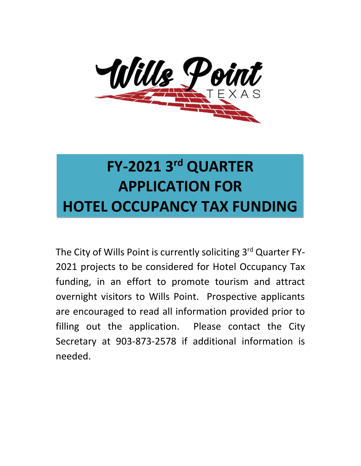

# **FY-2021 3 rd QUARTER APPLICATION FOR HOTEL OCCUPANCY TAX FUNDING**

The City of Wills Point is currently soliciting 3<sup>rd</sup> Quarter FY-2021 projects to be considered for Hotel Occupancy Tax funding, in an effort to promote tourism and attract overnight visitors to Wills Point. Prospective applicants are encouraged to read all information provided prior to filling out the application. Please contact the City Secretary at 903-873-2578 if additional information is needed.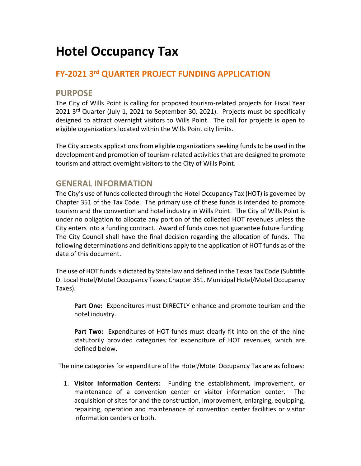# **Hotel Occupancy Tax**

### **FY-2021 3 rd QUARTER PROJECT FUNDING APPLICATION**

#### **PURPOSE**

The City of Wills Point is calling for proposed tourism-related projects for Fiscal Year 2021 3<sup>rd</sup> Quarter (July 1, 2021 to September 30, 2021). Projects must be specifically designed to attract overnight visitors to Wills Point. The call for projects is open to eligible organizations located within the Wills Point city limits.

The City accepts applications from eligible organizations seeking funds to be used in the development and promotion of tourism-related activities that are designed to promote tourism and attract overnight visitors to the City of Wills Point.

#### **GENERAL INFORMATION**

The City's use of funds collected through the Hotel Occupancy Tax (HOT) is governed by Chapter 351 of the Tax Code. The primary use of these funds is intended to promote tourism and the convention and hotel industry in Wills Point. The City of Wills Point is under no obligation to allocate any portion of the collected HOT revenues unless the City enters into a funding contract. Award of funds does not guarantee future funding. The City Council shall have the final decision regarding the allocation of funds. The following determinations and definitions apply to the application of HOT funds as of the date of this document.

The use of HOT funds is dictated by State law and defined in the Texas Tax Code (Subtitle D. Local Hotel/Motel Occupancy Taxes; Chapter 351. Municipal Hotel/Motel Occupancy Taxes).

**Part One:** Expenditures must DIRECTLY enhance and promote tourism and the hotel industry.

**Part Two:** Expenditures of HOT funds must clearly fit into on the of the nine statutorily provided categories for expenditure of HOT revenues, which are defined below.

The nine categories for expenditure of the Hotel/Motel Occupancy Tax are as follows:

1. **Visitor Information Centers:** Funding the establishment, improvement, or maintenance of a convention center or visitor information center. The acquisition of sites for and the construction, improvement, enlarging, equipping, repairing, operation and maintenance of convention center facilities or visitor information centers or both.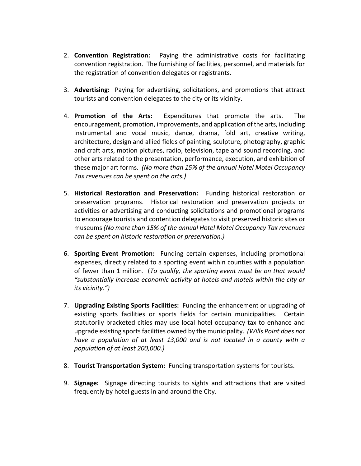- 2. **Convention Registration:** Paying the administrative costs for facilitating convention registration. The furnishing of facilities, personnel, and materials for the registration of convention delegates or registrants.
- 3. **Advertising:** Paying for advertising, solicitations, and promotions that attract tourists and convention delegates to the city or its vicinity.
- 4. **Promotion of the Arts:** Expenditures that promote the arts. The encouragement, promotion, improvements, and application of the arts, including instrumental and vocal music, dance, drama, fold art, creative writing, architecture, design and allied fields of painting, sculpture, photography, graphic and craft arts, motion pictures, radio, television, tape and sound recording, and other arts related to the presentation, performance, execution, and exhibition of these major art forms. *(No more than 15% of the annual Hotel Motel Occupancy Tax revenues can be spent on the arts.)*
- 5. **Historical Restoration and Preservation:** Funding historical restoration or preservation programs. Historical restoration and preservation projects or activities or advertising and conducting solicitations and promotional programs to encourage tourists and contention delegates to visit preserved historic sites or museums *(No more than 15% of the annual Hotel Motel Occupancy Tax revenues can be spent on historic restoration or preservation.)*
- 6. **Sporting Event Promotion:** Funding certain expenses, including promotional expenses, directly related to a sporting event within counties with a population of fewer than 1 million. (*To qualify, the sporting event must be on that would "substantially increase economic activity at hotels and motels within the city or its vicinity.")*
- 7. **Upgrading Existing Sports Facilities:** Funding the enhancement or upgrading of existing sports facilities or sports fields for certain municipalities. Certain statutorily bracketed cities may use local hotel occupancy tax to enhance and upgrade existing sports facilities owned by the municipality. *(Wills Point does not have a population of at least 13,000 and is not located in a county with a population of at least 200,000.)*
- 8. **Tourist Transportation System:** Funding transportation systems for tourists.
- 9. **Signage:** Signage directing tourists to sights and attractions that are visited frequently by hotel guests in and around the City.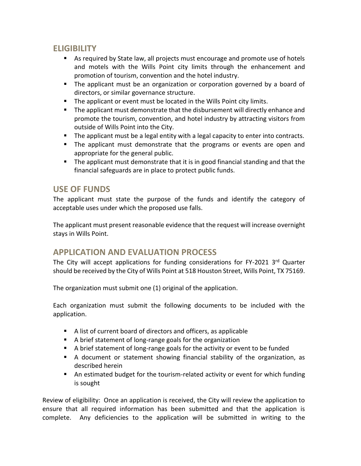#### **ELIGIBILITY**

- As required by State law, all projects must encourage and promote use of hotels and motels with the Wills Point city limits through the enhancement and promotion of tourism, convention and the hotel industry.
- **The applicant must be an organization or corporation governed by a board of** directors, or similar governance structure.
- The applicant or event must be located in the Wills Point city limits.
- The applicant must demonstrate that the disbursement will directly enhance and promote the tourism, convention, and hotel industry by attracting visitors from outside of Wills Point into the City.
- The applicant must be a legal entity with a legal capacity to enter into contracts.
- **•** The applicant must demonstrate that the programs or events are open and appropriate for the general public.
- The applicant must demonstrate that it is in good financial standing and that the financial safeguards are in place to protect public funds.

#### **USE OF FUNDS**

The applicant must state the purpose of the funds and identify the category of acceptable uses under which the proposed use falls.

The applicant must present reasonable evidence that the request will increase overnight stays in Wills Point.

#### **APPLICATION AND EVALUATION PROCESS**

The City will accept applications for funding considerations for FY-2021 3<sup>rd</sup> Quarter should be received by the City of Wills Point at 518 Houston Street, Wills Point, TX 75169.

The organization must submit one (1) original of the application.

Each organization must submit the following documents to be included with the application.

- A list of current board of directors and officers, as applicable
- A brief statement of long-range goals for the organization
- A brief statement of long-range goals for the activity or event to be funded
- A document or statement showing financial stability of the organization, as described herein
- An estimated budget for the tourism-related activity or event for which funding is sought

Review of eligibility: Once an application is received, the City will review the application to ensure that all required information has been submitted and that the application is complete. Any deficiencies to the application will be submitted in writing to the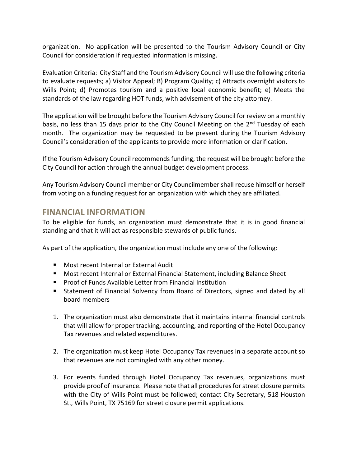organization. No application will be presented to the Tourism Advisory Council or City Council for consideration if requested information is missing.

Evaluation Criteria: City Staff and the Tourism Advisory Council will use the following criteria to evaluate requests; a) Visitor Appeal; B) Program Quality; c) Attracts overnight visitors to Wills Point; d) Promotes tourism and a positive local economic benefit; e) Meets the standards of the law regarding HOT funds, with advisement of the city attorney.

The application will be brought before the Tourism Advisory Council for review on a monthly basis, no less than 15 days prior to the City Council Meeting on the 2<sup>nd</sup> Tuesday of each month. The organization may be requested to be present during the Tourism Advisory Council's consideration of the applicants to provide more information or clarification.

If the Tourism Advisory Council recommends funding, the request will be brought before the City Council for action through the annual budget development process.

Any Tourism Advisory Council member or City Councilmember shall recuse himself or herself from voting on a funding request for an organization with which they are affiliated.

#### **FINANCIAL INFORMATION**

To be eligible for funds, an organization must demonstrate that it is in good financial standing and that it will act as responsible stewards of public funds.

As part of the application, the organization must include any one of the following:

- Most recent Internal or External Audit
- Most recent Internal or External Financial Statement, including Balance Sheet
- Proof of Funds Available Letter from Financial Institution
- **EXTERGH** Statement of Financial Solvency from Board of Directors, signed and dated by all board members
- 1. The organization must also demonstrate that it maintains internal financial controls that will allow for proper tracking, accounting, and reporting of the Hotel Occupancy Tax revenues and related expenditures.
- 2. The organization must keep Hotel Occupancy Tax revenues in a separate account so that revenues are not comingled with any other money.
- 3. For events funded through Hotel Occupancy Tax revenues, organizations must provide proof of insurance. Please note that all procedures for street closure permits with the City of Wills Point must be followed; contact City Secretary, 518 Houston St., Wills Point, TX 75169 for street closure permit applications.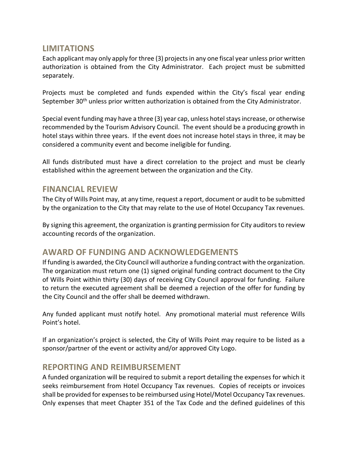#### **LIMITATIONS**

Each applicant may only apply for three (3) projects in any one fiscal year unless prior written authorization is obtained from the City Administrator. Each project must be submitted separately.

Projects must be completed and funds expended within the City's fiscal year ending September 30<sup>th</sup> unless prior written authorization is obtained from the City Administrator.

Special event funding may have a three (3) year cap, unless hotel stays increase, or otherwise recommended by the Tourism Advisory Council. The event should be a producing growth in hotel stays within three years. If the event does not increase hotel stays in three, it may be considered a community event and become ineligible for funding.

All funds distributed must have a direct correlation to the project and must be clearly established within the agreement between the organization and the City.

#### **FINANCIAL REVIEW**

The City of Wills Point may, at any time, request a report, document or audit to be submitted by the organization to the City that may relate to the use of Hotel Occupancy Tax revenues.

By signing this agreement, the organization is granting permission for City auditors to review accounting records of the organization.

#### **AWARD OF FUNDING AND ACKNOWLEDGEMENTS**

If funding is awarded, the City Council will authorize a funding contract with the organization. The organization must return one (1) signed original funding contract document to the City of Wills Point within thirty (30) days of receiving City Council approval for funding. Failure to return the executed agreement shall be deemed a rejection of the offer for funding by the City Council and the offer shall be deemed withdrawn.

Any funded applicant must notify hotel. Any promotional material must reference Wills Point's hotel.

If an organization's project is selected, the City of Wills Point may require to be listed as a sponsor/partner of the event or activity and/or approved City Logo.

#### **REPORTING AND REIMBURSEMENT**

A funded organization will be required to submit a report detailing the expenses for which it seeks reimbursement from Hotel Occupancy Tax revenues. Copies of receipts or invoices shall be provided for expenses to be reimbursed using Hotel/Motel Occupancy Tax revenues. Only expenses that meet Chapter 351 of the Tax Code and the defined guidelines of this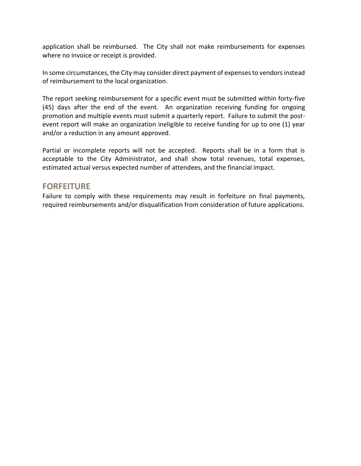application shall be reimbursed. The City shall not make reimbursements for expenses where no invoice or receipt is provided.

In some circumstances, the City may consider direct payment of expenses to vendors instead of reimbursement to the local organization.

The report seeking reimbursement for a specific event must be submitted within forty-five (45) days after the end of the event. An organization receiving funding for ongoing promotion and multiple events must submit a quarterly report. Failure to submit the postevent report will make an organization ineligible to receive funding for up to one (1) year and/or a reduction in any amount approved.

Partial or incomplete reports will not be accepted. Reports shall be in a form that is acceptable to the City Administrator, and shall show total revenues, total expenses, estimated actual versus expected number of attendees, and the financial impact.

#### **FORFEITURE**

Failure to comply with these requirements may result in forfeiture on final payments, required reimbursements and/or disqualification from consideration of future applications.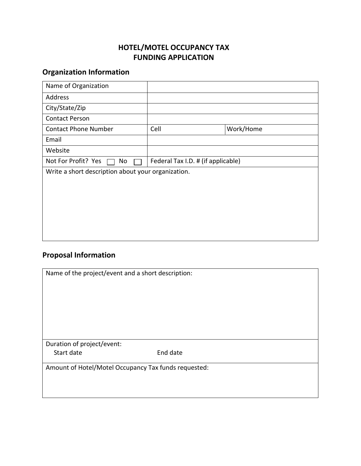#### **HOTEL/MOTEL OCCUPANCY TAX FUNDING APPLICATION**

## **Organization Information**

| Name of Organization                               |                                    |           |
|----------------------------------------------------|------------------------------------|-----------|
| Address                                            |                                    |           |
| City/State/Zip                                     |                                    |           |
| <b>Contact Person</b>                              |                                    |           |
| <b>Contact Phone Number</b>                        | Cell                               | Work/Home |
| Email                                              |                                    |           |
| Website                                            |                                    |           |
| Not For Profit? Yes<br>No                          | Federal Tax I.D. # (if applicable) |           |
| Write a short description about your organization. |                                    |           |
|                                                    |                                    |           |
|                                                    |                                    |           |
|                                                    |                                    |           |
|                                                    |                                    |           |
|                                                    |                                    |           |
|                                                    |                                    |           |

# **Proposal Information**

| Name of the project/event and a short description:   |          |  |  |
|------------------------------------------------------|----------|--|--|
|                                                      |          |  |  |
|                                                      |          |  |  |
|                                                      |          |  |  |
|                                                      |          |  |  |
|                                                      |          |  |  |
|                                                      |          |  |  |
|                                                      |          |  |  |
|                                                      |          |  |  |
|                                                      |          |  |  |
|                                                      |          |  |  |
| Duration of project/event:                           |          |  |  |
| Start date                                           | End date |  |  |
|                                                      |          |  |  |
| Amount of Hotel/Motel Occupancy Tax funds requested: |          |  |  |
|                                                      |          |  |  |
|                                                      |          |  |  |
|                                                      |          |  |  |
|                                                      |          |  |  |
|                                                      |          |  |  |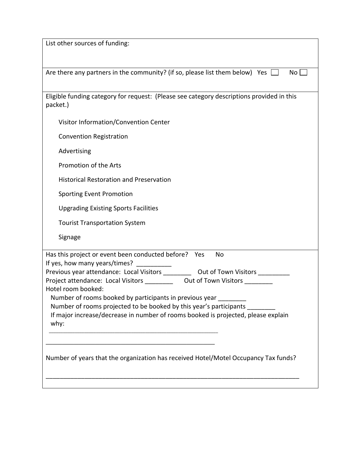| List other sources of funding:                                                                                                                          |  |  |
|---------------------------------------------------------------------------------------------------------------------------------------------------------|--|--|
|                                                                                                                                                         |  |  |
| Are there any partners in the community? (if so, please list them below) Yes<br>No l                                                                    |  |  |
|                                                                                                                                                         |  |  |
| Eligible funding category for request: (Please see category descriptions provided in this<br>packet.)                                                   |  |  |
| Visitor Information/Convention Center                                                                                                                   |  |  |
| <b>Convention Registration</b>                                                                                                                          |  |  |
| Advertising                                                                                                                                             |  |  |
| Promotion of the Arts                                                                                                                                   |  |  |
| <b>Historical Restoration and Preservation</b>                                                                                                          |  |  |
| <b>Sporting Event Promotion</b>                                                                                                                         |  |  |
| <b>Upgrading Existing Sports Facilities</b>                                                                                                             |  |  |
| <b>Tourist Transportation System</b>                                                                                                                    |  |  |
| Signage                                                                                                                                                 |  |  |
| Has this project or event been conducted before?<br><b>No</b><br>Yes                                                                                    |  |  |
| If yes, how many years/times?<br>Previous year attendance: Local Visitors ___________ Out of Town Visitors ________                                     |  |  |
| Project attendance: Local Visitors _____________ Out of Town Visitors _________                                                                         |  |  |
| Hotel room booked:                                                                                                                                      |  |  |
| Number of rooms booked by participants in previous year                                                                                                 |  |  |
| Number of rooms projected to be booked by this year's participants<br>If major increase/decrease in number of rooms booked is projected, please explain |  |  |
| why:                                                                                                                                                    |  |  |
|                                                                                                                                                         |  |  |
|                                                                                                                                                         |  |  |
| Number of years that the organization has received Hotel/Motel Occupancy Tax funds?                                                                     |  |  |
|                                                                                                                                                         |  |  |
|                                                                                                                                                         |  |  |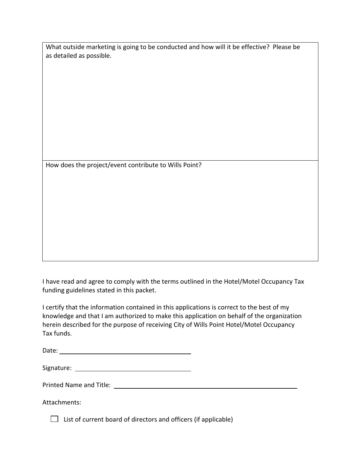| What outside marketing is going to be conducted and how will it be effective? Please be |  |
|-----------------------------------------------------------------------------------------|--|
| as detailed as possible.                                                                |  |

How does the project/event contribute to Wills Point?

I have read and agree to comply with the terms outlined in the Hotel/Motel Occupancy Tax funding guidelines stated in this packet.

I certify that the information contained in this applications is correct to the best of my knowledge and that I am authorized to make this application on behalf of the organization herein described for the purpose of receiving City of Wills Point Hotel/Motel Occupancy Tax funds.

| Date: |  |
|-------|--|
|       |  |

| Signature: |  |
|------------|--|
|            |  |

| <b>Printed Name and Title:</b> |  |
|--------------------------------|--|
|                                |  |

Attachments:

 $\Box$  List of current board of directors and officers (if applicable)